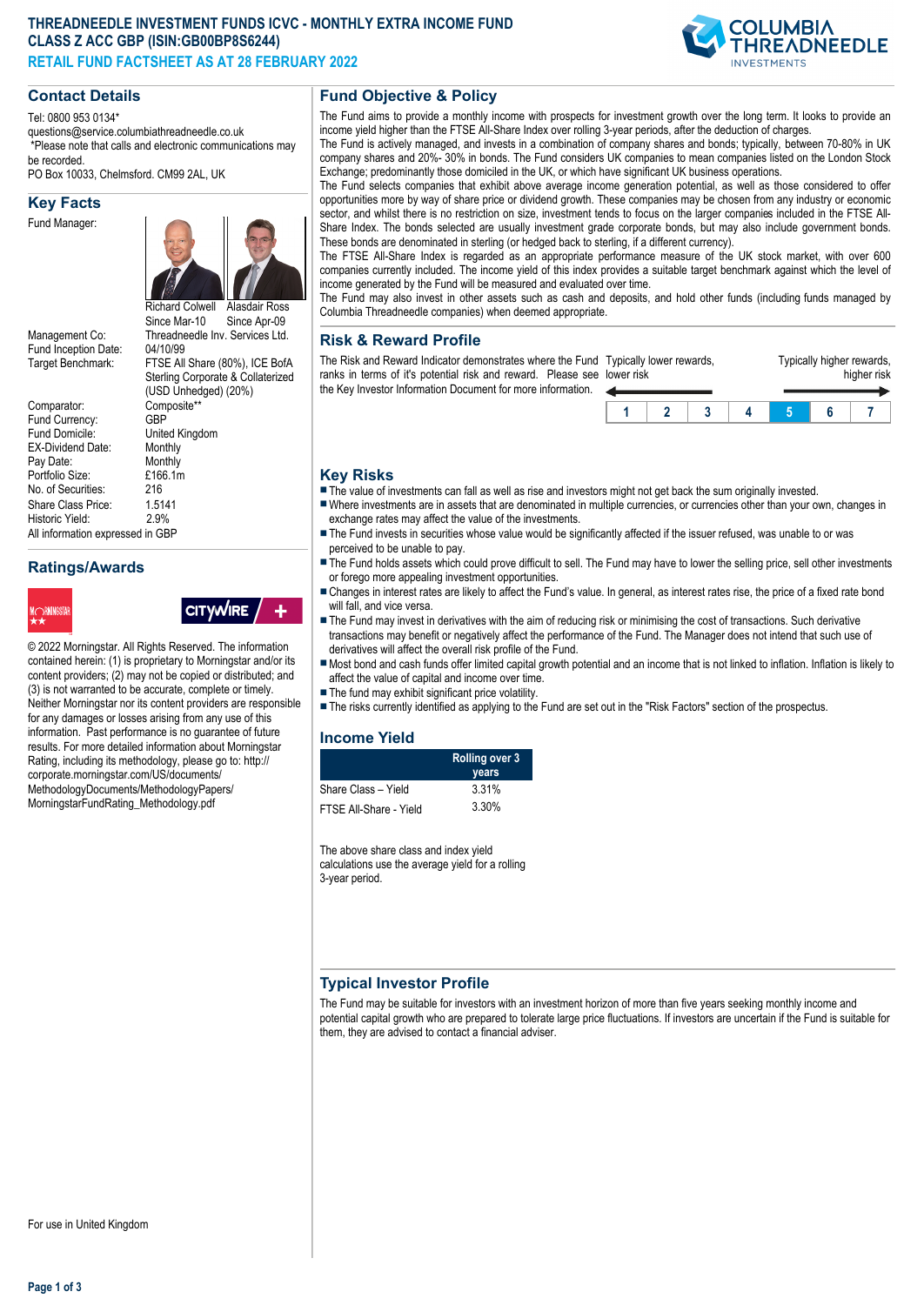#### **THREADNEEDLE INVESTMENT FUNDS ICVC - MONTHLY EXTRA INCOME FUND CLASS Z ACC GBP (ISIN:GB00BP8S6244) RETAIL FUND FACTSHEET AS AT 28 FEBRUARY 2022**



#### **Contact Details**

Tel: 0800 953 0134\*

questions@service.columbiathreadneedle.co.uk \*Please note that calls and electronic communications may

be recorded. PO Box 10033, Chelmsford. CM99 2AL, UK

#### **Key Facts**

Fund Manager:



Fund Inception Date:<br>Target Benchmark:

Comparator: Composite\*<br>Fund Currency: GBP Fund Currency:<br>Fund Domicile: EX-Dividend Date: Monthly<br>Pay Date: Monthly Pay Date: Monthly<br>Portfolio Size: F166.1m Portfolio Size: No. of Securities: 216<br>Share Class Price: 1.5141 Share Class Price: 1.514<br>Historic Yield: 2.9% Historic Yield: All information expressed in GBP

# Management Co: Threadneedle Inv. Services Ltd.<br>Fund Incention Date: 04/10/99 FTSE All Share (80%), ICE BofA Sterling Corporate & Collaterized (USD Unhedged) (20%) United Kingdom<br>Monthly

**Ratings/Awards**



**CITYWIRE** 

© 2022 Morningstar. All Rights Reserved. The information contained herein: (1) is proprietary to Morningstar and/or its content providers; (2) may not be copied or distributed; and (3) is not warranted to be accurate, complete or timely. Neither Morningstar nor its content providers are responsible for any damages or losses arising from any use of this information. Past performance is no guarantee of future results. For more detailed information about Morningstar Rating, including its methodology, please go to: http:// corporate.morningstar.com/US/documents/ MethodologyDocuments/MethodologyPapers/ MorningstarFundRating\_Methodology.pdf

# **Fund Objective & Policy**

The Fund aims to provide a monthly income with prospects for investment growth over the long term. It looks to provide an income yield higher than the FTSE All-Share Index over rolling 3-year periods, after the deduction of charges.

The Fund is actively managed, and invests in a combination of company shares and bonds; typically, between 70-80% in UK company shares and 20%- 30% in bonds. The Fund considers UK companies to mean companies listed on the London Stock Exchange; predominantly those domiciled in the UK, or which have significant UK business operations.

The Fund selects companies that exhibit above average income generation potential, as well as those considered to offer opportunities more by way of share price or dividend growth. These companies may be chosen from any industry or economic sector, and whilst there is no restriction on size, investment tends to focus on the larger companies included in the FTSE All-Share Index. The bonds selected are usually investment grade corporate bonds, but may also include government bonds. These bonds are denominated in sterling (or hedged back to sterling, if a different currency).

The FTSE All-Share Index is regarded as an appropriate performance measure of the UK stock market, with over 600 companies currently included. The income yield of this index provides a suitable target benchmark against which the level of income generated by the Fund will be measured and evaluated over time.

The Fund may also invest in other assets such as cash and deposits, and hold other funds (including funds managed by Columbia Threadneedle companies) when deemed appropriate.

#### **Risk & Reward Profile**

The Risk and Reward Indicator demonstrates where the Fund Typically lower rewards, ranks in terms of it's potential risk and reward. Please see lower risk the Key Investor Information Document for more information.



#### **Key Risks**

- $\blacksquare$  The value of investments can fall as well as rise and investors might not get back the sum originally invested.
- nWhere investments are in assets that are denominated in multiple currencies, or currencies other than your own, changes in exchange rates may affect the value of the investments.
- The Fund invests in securities whose value would be significantly affected if the issuer refused, was unable to or was perceived to be unable to pay.
- The Fund holds assets which could prove difficult to sell. The Fund may have to lower the selling price, sell other investments or forego more appealing investment opportunities.
- n Changes in interest rates are likely to affect the Fund's value. In general, as interest rates rise, the price of a fixed rate bond will fall, and vice versa.
- The Fund may invest in derivatives with the aim of reducing risk or minimising the cost of transactions. Such derivative transactions may benefit or negatively affect the performance of the Fund. The Manager does not intend that such use of derivatives will affect the overall risk profile of the Fund.
- n Most bond and cash funds offer limited capital growth potential and an income that is not linked to inflation. Inflation is likely to affect the value of capital and income over time.
- $\blacksquare$  The fund may exhibit significant price volatility.
- n The risks currently identified as applying to the Fund are set out in the "Risk Factors" section of the prospectus.

#### **Income Yield**

|                        | <b>Rolling over 3</b><br>years |  |
|------------------------|--------------------------------|--|
| Share Class – Yield    | 3.31%                          |  |
| FTSE All-Share - Yield | 3.30%                          |  |

The above share class and index yield calculations use the average yield for a rolling 3-year period.

# **Typical Investor Profile**

The Fund may be suitable for investors with an investment horizon of more than five years seeking monthly income and potential capital growth who are prepared to tolerate large price fluctuations. If investors are uncertain if the Fund is suitable for them, they are advised to contact a financial adviser.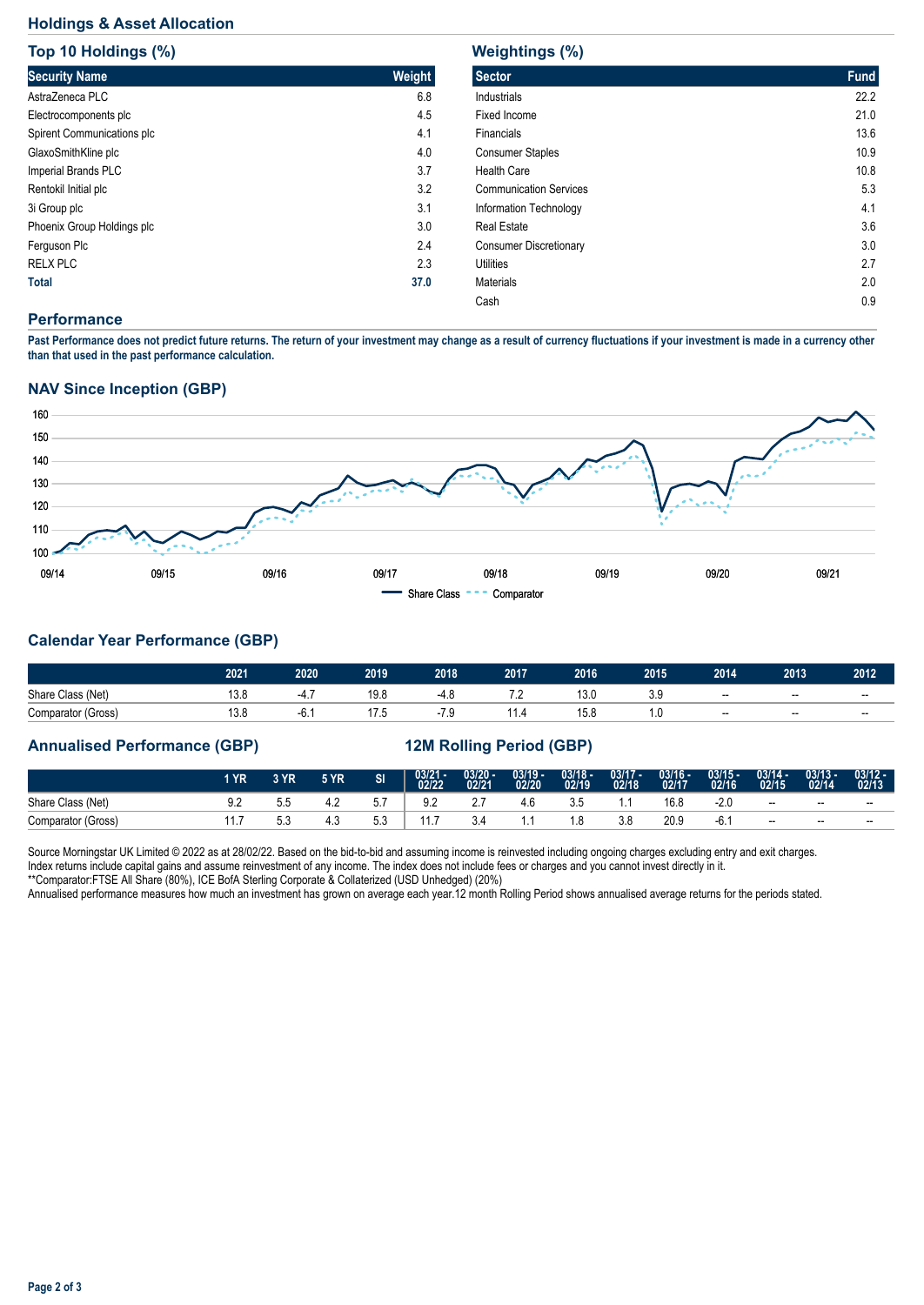# **Holdings & Asset Allocation**

| Top 10 Holdings (%)        |        |
|----------------------------|--------|
| <b>Security Name</b>       | Weight |
| AstraZeneca PLC            | 6.8    |
| Electrocomponents plc      | 4.5    |
| Spirent Communications plc | 4.1    |
| GlaxoSmithKline plc        | 4.0    |
| Imperial Brands PLC        | 3.7    |
| Rentokil Initial plc       | 3.2    |
| 3i Group plc               | 3.1    |
| Phoenix Group Holdings plc | 3.0    |
| Ferguson Plc               | 2.4    |
| <b>RELX PLC</b>            | 2.3    |
| <b>Total</b>               | 37.0   |

# **Weightings (%)**

| <b>Sector</b>                 | <b>Fund</b> |
|-------------------------------|-------------|
| Industrials                   | 22.2        |
| Fixed Income                  | 21.0        |
| Financials                    | 13.6        |
| <b>Consumer Staples</b>       | 10.9        |
| <b>Health Care</b>            | 10.8        |
| <b>Communication Services</b> | 5.3         |
| Information Technology        | 4.1         |
| <b>Real Estate</b>            | 3.6         |
| <b>Consumer Discretionary</b> | 3.0         |
| <b>Utilities</b>              | 2.7         |
| Materials                     | 2.0         |
| Cash                          | 0.9         |

#### **Performance**

**Past Performance does not predict future returns. The return of your investment may change as a result of currency fluctuations if your investment is made in a currency other than that used in the past performance calculation.** 

#### **NAV Since Inception (GBP)**



# **Calendar Year Performance (GBP)**

|                    | 2021 | 2020  | 2019           | 2018 | 2017 | 2016 | 2015            | 2014  | 2013 | 2012  |
|--------------------|------|-------|----------------|------|------|------|-----------------|-------|------|-------|
| Share Class (Net)  | 10.C | т.,   | 19.8           | т. о | $-$  | 13.0 | ບ.ບ             | $- -$ | $-$  | $- -$ |
| Comparator (Gross) | 10.0 | -6. . | $\sim$<br>ں. ا | -    | .    | 15.8 | $\cdot$ $\cdot$ | $- -$ | $-$  | $- -$ |

#### **Annualised Performance (GBP) 12M Rolling Period (GBP)**

|                    | l YR'         | 3 YR | <b>5 YR</b> | SI  | 03/21 -<br>02/22 | $\frac{03/20 - 0.21}{02/21}$ | $03/19 -$<br>02/20 | $\frac{03/18}{02/19}$ | $\frac{03/17}{02/18}$ | 03/16 -<br>02/17 | $03/15 -$<br>02/16 | $03/14 -$<br>02/15 | $03/13 -$<br>02/14 | $03/12 -$<br>02/13 |
|--------------------|---------------|------|-------------|-----|------------------|------------------------------|--------------------|-----------------------|-----------------------|------------------|--------------------|--------------------|--------------------|--------------------|
| Share Class (Net)  | J.L           | v.v  |             | 5.7 | $\Omega$<br>ے.כ  | <u>.</u>                     |                    | 3.5                   |                       | 16.8             | -2.U               | $- -$              | $- -$              | $- -$              |
| Comparator (Gross) | l I. <i>I</i> | v.v  | 4.3         | 5.3 |                  |                              |                    |                       | 3.8                   | 20.9             | -6. .              | $- -$              | $- -$              | $-$                |

Source Morningstar UK Limited © 2022 as at 28/02/22. Based on the bid-to-bid and assuming income is reinvested including ongoing charges excluding entry and exit charges. Index returns include capital gains and assume reinvestment of any income. The index does not include fees or charges and you cannot invest directly in it. \*\*Comparator:FTSE All Share (80%), ICE BofA Sterling Corporate & Collaterized (USD Unhedged) (20%)

Annualised performance measures how much an investment has grown on average each year.12 month Rolling Period shows annualised average returns for the periods stated.